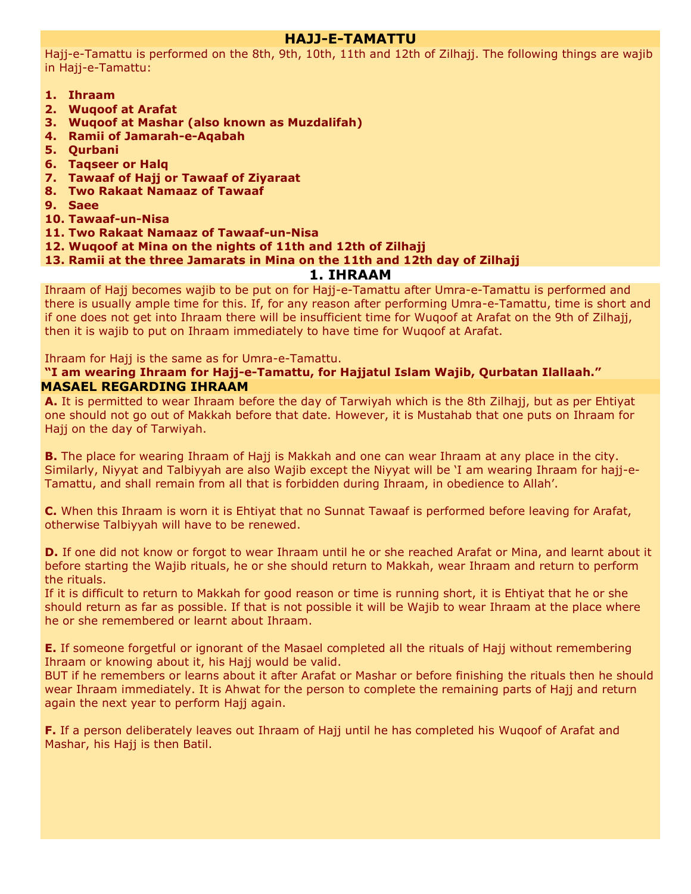### **HAJJ-E-TAMATTU**

Hajj-e-Tamattu is performed on the 8th, 9th, 10th, 11th and 12th of Zilhajj. The following things are wajib in Hajj-e-Tamattu:

- **1. Ihraam**
- **2. Wuqoof at Arafat**
- **3. Wuqoof at Mashar (also known as Muzdalifah)**
- **4. Ramii of Jamarah-e-Aqabah**
- **5. Qurbani**
- **6. Taqseer or Halq**
- **7. Tawaaf of Hajj or Tawaaf of Ziyaraat**
- **8. Two Rakaat Namaaz of Tawaaf**
- **9. Saee**
- **10. Tawaaf-un-Nisa**
- **11. Two Rakaat Namaaz of Tawaaf-un-Nisa**
- **12. Wuqoof at Mina on the nights of 11th and 12th of Zilhajj**
- **13. Ramii at the three Jamarats in Mina on the 11th and 12th day of Zilhajj**

#### **1. IHRAAM**

Ihraam of Hajj becomes wajib to be put on for Hajj-e-Tamattu after Umra-e-Tamattu is performed and there is usually ample time for this. If, for any reason after performing Umra-e-Tamattu, time is short and if one does not get into Ihraam there will be insufficient time for Wuqoof at Arafat on the 9th of Zilhajj, then it is wajib to put on Ihraam immediately to have time for Wuqoof at Arafat.

Ihraam for Hajj is the same as for Umra-e-Tamattu.

#### **"I am wearing Ihraam for Hajj-e-Tamattu, for Hajjatul Islam Wajib, Qurbatan Ilallaah." MASAEL REGARDING IHRAAM**

**A.** It is permitted to wear Ihraam before the day of Tarwiyah which is the 8th Zilhajj, but as per Ehtiyat one should not go out of Makkah before that date. However, it is Mustahab that one puts on Ihraam for Hajj on the day of Tarwiyah.

**B.** The place for wearing Ihraam of Hajj is Makkah and one can wear Ihraam at any place in the city. Similarly, Niyyat and Talbiyyah are also Wajib except the Niyyat will be "I am wearing Ihraam for hajj-e-Tamattu, and shall remain from all that is forbidden during Ihraam, in obedience to Allah".

**C.** When this Ihraam is worn it is Ehtiyat that no Sunnat Tawaaf is performed before leaving for Arafat, otherwise Talbiyyah will have to be renewed.

**D.** If one did not know or forgot to wear Ihraam until he or she reached Arafat or Mina, and learnt about it before starting the Wajib rituals, he or she should return to Makkah, wear Ihraam and return to perform the rituals.

If it is difficult to return to Makkah for good reason or time is running short, it is Ehtiyat that he or she should return as far as possible. If that is not possible it will be Wajib to wear Ihraam at the place where he or she remembered or learnt about Ihraam.

**E.** If someone forgetful or ignorant of the Masael completed all the rituals of Hajj without remembering Ihraam or knowing about it, his Hajj would be valid.

BUT if he remembers or learns about it after Arafat or Mashar or before finishing the rituals then he should wear Ihraam immediately. It is Ahwat for the person to complete the remaining parts of Hajj and return again the next year to perform Hajj again.

**F.** If a person deliberately leaves out Ihraam of Hajj until he has completed his Wuqoof of Arafat and Mashar, his Hajj is then Batil.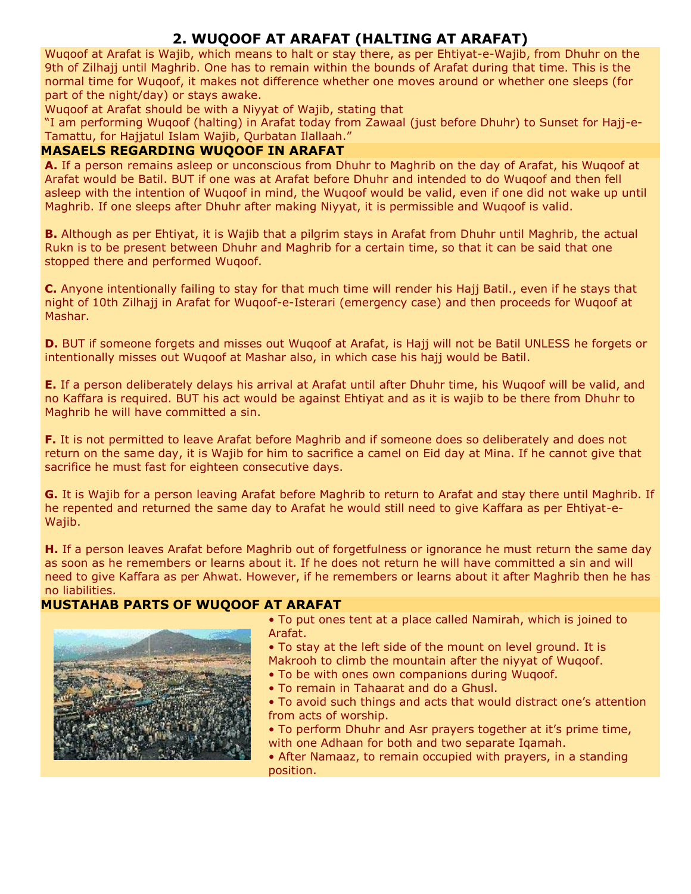# **2. WUQOOF AT ARAFAT (HALTING AT ARAFAT)**

Wuqoof at Arafat is Wajib, which means to halt or stay there, as per Ehtiyat-e-Wajib, from Dhuhr on the 9th of Zilhajj until Maghrib. One has to remain within the bounds of Arafat during that time. This is the normal time for Wuqoof, it makes not difference whether one moves around or whether one sleeps (for part of the night/day) or stays awake.

Wuqoof at Arafat should be with a Niyyat of Wajib, stating that

"I am performing Wuqoof (halting) in Arafat today from Zawaal (just before Dhuhr) to Sunset for Hajj-e-Tamattu, for Hajjatul Islam Wajib, Qurbatan Ilallaah."

### **MASAELS REGARDING WUQOOF IN ARAFAT**

**A.** If a person remains asleep or unconscious from Dhuhr to Maghrib on the day of Arafat, his Wuqoof at Arafat would be Batil. BUT if one was at Arafat before Dhuhr and intended to do Wuqoof and then fell asleep with the intention of Wuqoof in mind, the Wuqoof would be valid, even if one did not wake up until Maghrib. If one sleeps after Dhuhr after making Niyyat, it is permissible and Wuqoof is valid.

**B.** Although as per Ehtiyat, it is Wajib that a pilgrim stays in Arafat from Dhuhr until Maghrib, the actual Rukn is to be present between Dhuhr and Maghrib for a certain time, so that it can be said that one stopped there and performed Wuqoof.

**C.** Anyone intentionally failing to stay for that much time will render his Hajj Batil., even if he stays that night of 10th Zilhajj in Arafat for Wuqoof-e-Isterari (emergency case) and then proceeds for Wuqoof at Mashar.

**D.** BUT if someone forgets and misses out Wugoof at Arafat, is Hajj will not be Batil UNLESS he forgets or intentionally misses out Wuqoof at Mashar also, in which case his hajj would be Batil.

**E.** If a person deliberately delays his arrival at Arafat until after Dhuhr time, his Wuqoof will be valid, and no Kaffara is required. BUT his act would be against Ehtiyat and as it is wajib to be there from Dhuhr to Maghrib he will have committed a sin.

**F.** It is not permitted to leave Arafat before Maghrib and if someone does so deliberately and does not return on the same day, it is Wajib for him to sacrifice a camel on Eid day at Mina. If he cannot give that sacrifice he must fast for eighteen consecutive days.

**G.** It is Wajib for a person leaving Arafat before Maghrib to return to Arafat and stay there until Maghrib. If he repented and returned the same day to Arafat he would still need to give Kaffara as per Ehtiyat-e-Wajib.

**H.** If a person leaves Arafat before Maghrib out of forgetfulness or ignorance he must return the same day as soon as he remembers or learns about it. If he does not return he will have committed a sin and will need to give Kaffara as per Ahwat. However, if he remembers or learns about it after Maghrib then he has no liabilities.

### **MUSTAHAB PARTS OF WUQOOF AT ARAFAT**



• To put ones tent at a place called Namirah, which is joined to Arafat.

• To stay at the left side of the mount on level ground. It is Makrooh to climb the mountain after the niyyat of Wuqoof.

- To be with ones own companions during Wuqoof.
- To remain in Tahaarat and do a Ghusl.
- To avoid such things and acts that would distract one"s attention from acts of worship.
- To perform Dhuhr and Asr prayers together at it's prime time, with one Adhaan for both and two separate Iqamah.
- After Namaaz, to remain occupied with prayers, in a standing position.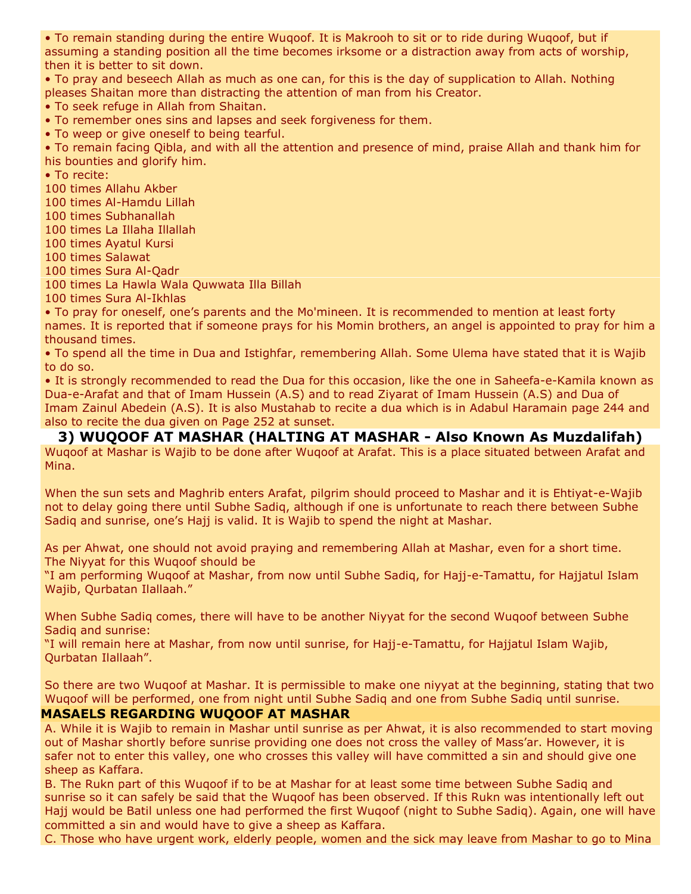• To remain standing during the entire Wuqoof. It is Makrooh to sit or to ride during Wuqoof, but if assuming a standing position all the time becomes irksome or a distraction away from acts of worship, then it is better to sit down.

• To pray and beseech Allah as much as one can, for this is the day of supplication to Allah. Nothing pleases Shaitan more than distracting the attention of man from his Creator.

• To seek refuge in Allah from Shaitan.

• To remember ones sins and lapses and seek forgiveness for them.

• To weep or give oneself to being tearful.

• To remain facing Qibla, and with all the attention and presence of mind, praise Allah and thank him for his bounties and glorify him.

• To recite:

100 times Allahu Akber

100 times Al-Hamdu Lillah

100 times Subhanallah

100 times La Illaha Illallah

100 times Ayatul Kursi

100 times Salawat

100 times Sura Al-Qadr

100 times La Hawla Wala Quwwata Illa Billah

100 times Sura Al-Ikhlas

• To pray for oneself, one"s parents and the Mo'mineen. It is recommended to mention at least forty names. It is reported that if someone prays for his Momin brothers, an angel is appointed to pray for him a thousand times.

• To spend all the time in Dua and Istighfar, remembering Allah. Some Ulema have stated that it is Wajib to do so.

• It is strongly recommended to read the Dua for this occasion, like the one in Saheefa-e-Kamila known as Dua-e-Arafat and that of Imam Hussein (A.S) and to read Ziyarat of Imam Hussein (A.S) and Dua of Imam Zainul Abedein (A.S). It is also Mustahab to recite a dua which is in Adabul Haramain page 244 and also to recite the dua given on Page 252 at sunset.

**3) WUQOOF AT MASHAR (HALTING AT MASHAR - Also Known As Muzdalifah)** Wuqoof at Mashar is Wajib to be done after Wuqoof at Arafat. This is a place situated between Arafat and Mina.

When the sun sets and Maghrib enters Arafat, pilgrim should proceed to Mashar and it is Ehtiyat-e-Wajib not to delay going there until Subhe Sadiq, although if one is unfortunate to reach there between Subhe Sadiq and sunrise, one's Hajj is valid. It is Wajib to spend the night at Mashar.

As per Ahwat, one should not avoid praying and remembering Allah at Mashar, even for a short time. The Niyyat for this Wuqoof should be

"I am performing Wuqoof at Mashar, from now until Subhe Sadiq, for Hajj-e-Tamattu, for Hajjatul Islam Wajib, Qurbatan Ilallaah."

When Subhe Sadiq comes, there will have to be another Niyyat for the second Wuqoof between Subhe Sadiq and sunrise:

"I will remain here at Mashar, from now until sunrise, for Hajj-e-Tamattu, for Hajjatul Islam Wajib, Qurbatan Ilallaah".

So there are two Wuqoof at Mashar. It is permissible to make one niyyat at the beginning, stating that two Wuqoof will be performed, one from night until Subhe Sadiq and one from Subhe Sadiq until sunrise.

#### **MASAELS REGARDING WUQOOF AT MASHAR**

A. While it is Wajib to remain in Mashar until sunrise as per Ahwat, it is also recommended to start moving out of Mashar shortly before sunrise providing one does not cross the valley of Mass'ar. However, it is safer not to enter this valley, one who crosses this valley will have committed a sin and should give one sheep as Kaffara.

B. The Rukn part of this Wuqoof if to be at Mashar for at least some time between Subhe Sadiq and sunrise so it can safely be said that the Wuqoof has been observed. If this Rukn was intentionally left out Hajj would be Batil unless one had performed the first Wuqoof (night to Subhe Sadiq). Again, one will have committed a sin and would have to give a sheep as Kaffara.

C. Those who have urgent work, elderly people, women and the sick may leave from Mashar to go to Mina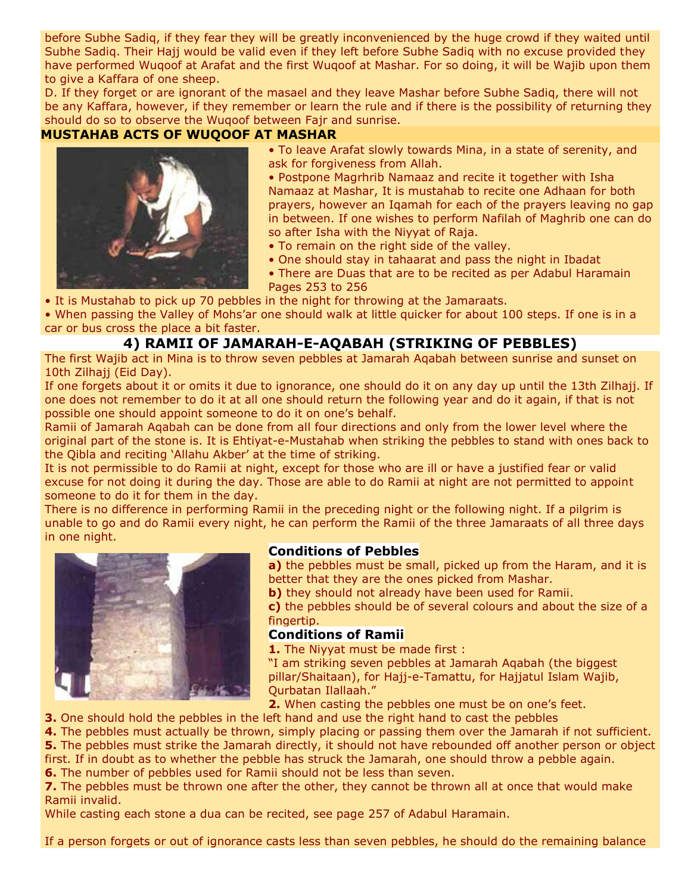before Subhe Sadiq, if they fear they will be greatly inconvenienced by the huge crowd if they waited until Subhe Sadiq. Their Hajj would be valid even if they left before Subhe Sadiq with no excuse provided they have performed Wuqoof at Arafat and the first Wuqoof at Mashar. For so doing, it will be Wajib upon them to give a Kaffara of one sheep.

D. If they forget or are ignorant of the masael and they leave Mashar before Subhe Sadiq, there will not be any Kaffara, however, if they remember or learn the rule and if there is the possibility of returning they should do so to observe the Wuqoof between Fajr and sunrise.

## **MUSTAHAB ACTS OF WUQOOF AT MASHAR**



• To leave Arafat slowly towards Mina, in a state of serenity, and ask for forgiveness from Allah.

• Postpone Magrhrib Namaaz and recite it together with Isha Namaaz at Mashar, It is mustahab to recite one Adhaan for both prayers, however an Iqamah for each of the prayers leaving no gap in between. If one wishes to perform Nafilah of Maghrib one can do so after Isha with the Niyyat of Raja.

- To remain on the right side of the valley.
- One should stay in tahaarat and pass the night in Ibadat
- There are Duas that are to be recited as per Adabul Haramain Pages 253 to 256
- It is Mustahab to pick up 70 pebbles in the night for throwing at the Jamaraats.

• When passing the Valley of Mohs'ar one should walk at little quicker for about 100 steps. If one is in a car or bus cross the place a bit faster.

## **4) RAMII OF JAMARAH-E-AQABAH (STRIKING OF PEBBLES)**

The first Wajib act in Mina is to throw seven pebbles at Jamarah Aqabah between sunrise and sunset on 10th Zilhajj (Eid Day).

If one forgets about it or omits it due to ignorance, one should do it on any day up until the 13th Zilhajj. If one does not remember to do it at all one should return the following year and do it again, if that is not possible one should appoint someone to do it on one"s behalf.

Ramii of Jamarah Aqabah can be done from all four directions and only from the lower level where the original part of the stone is. It is Ehtiyat-e-Mustahab when striking the pebbles to stand with ones back to the Qibla and reciting "Allahu Akber" at the time of striking.

It is not permissible to do Ramii at night, except for those who are ill or have a justified fear or valid excuse for not doing it during the day. Those are able to do Ramii at night are not permitted to appoint someone to do it for them in the day.

There is no difference in performing Ramii in the preceding night or the following night. If a pilgrim is unable to go and do Ramii every night, he can perform the Ramii of the three Jamaraats of all three days in one night.



#### **Conditions of Pebbles**

**a)** the pebbles must be small, picked up from the Haram, and it is better that they are the ones picked from Mashar.

**b**) they should not already have been used for Ramii.

**c)** the pebbles should be of several colours and about the size of a fingertip.

#### **Conditions of Ramii**

**1.** The Niyyat must be made first :

"I am striking seven pebbles at Jamarah Aqabah (the biggest pillar/Shaitaan), for Hajj-e-Tamattu, for Hajjatul Islam Wajib, Qurbatan Ilallaah."

**2.** When casting the pebbles one must be on one's feet.

**3.** One should hold the pebbles in the left hand and use the right hand to cast the pebbles

**4.** The pebbles must actually be thrown, simply placing or passing them over the Jamarah if not sufficient. **5.** The pebbles must strike the Jamarah directly, it should not have rebounded off another person or object

first. If in doubt as to whether the pebble has struck the Jamarah, one should throw a pebble again.

**6.** The number of pebbles used for Ramii should not be less than seven.

**7.** The pebbles must be thrown one after the other, they cannot be thrown all at once that would make Ramii invalid.

While casting each stone a dua can be recited, see page 257 of Adabul Haramain.

If a person forgets or out of ignorance casts less than seven pebbles, he should do the remaining balance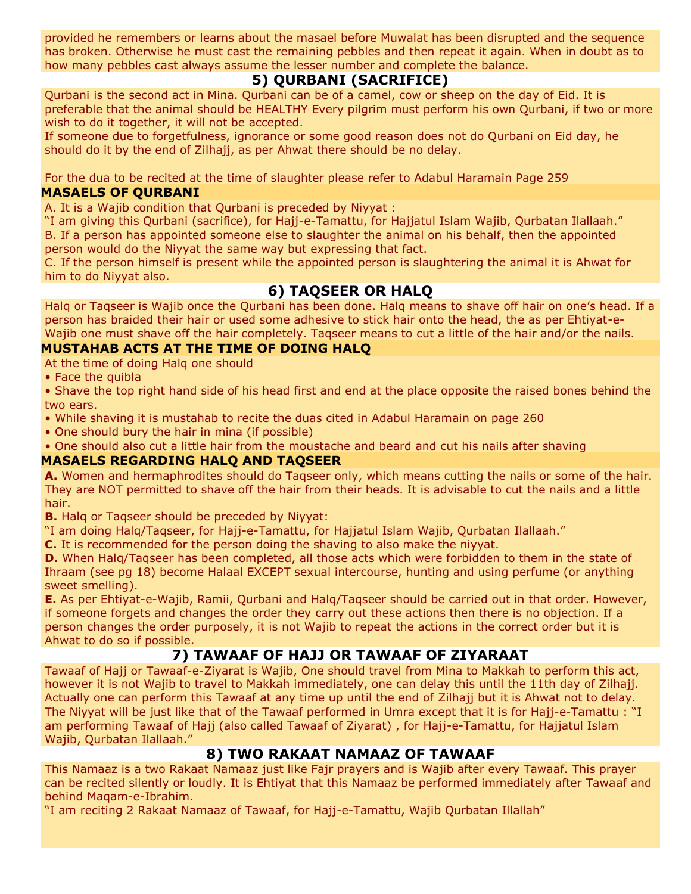provided he remembers or learns about the masael before Muwalat has been disrupted and the sequence has broken. Otherwise he must cast the remaining pebbles and then repeat it again. When in doubt as to how many pebbles cast always assume the lesser number and complete the balance.

## **5) QURBANI (SACRIFICE)**

Qurbani is the second act in Mina. Qurbani can be of a camel, cow or sheep on the day of Eid. It is preferable that the animal should be HEALTHY Every pilgrim must perform his own Qurbani, if two or more wish to do it together, it will not be accepted.

If someone due to forgetfulness, ignorance or some good reason does not do Qurbani on Eid day, he should do it by the end of Zilhajj, as per Ahwat there should be no delay.

For the dua to be recited at the time of slaughter please refer to Adabul Haramain Page 259

### **MASAELS OF QURBANI**

A. It is a Wajib condition that Qurbani is preceded by Niyyat :

"I am giving this Qurbani (sacrifice), for Hajj-e-Tamattu, for Hajjatul Islam Wajib, Qurbatan Ilallaah." B. If a person has appointed someone else to slaughter the animal on his behalf, then the appointed person would do the Niyyat the same way but expressing that fact.

C. If the person himself is present while the appointed person is slaughtering the animal it is Ahwat for him to do Niyyat also.

## **6) TAQSEER OR HALQ**

Halq or Taqseer is Wajib once the Qurbani has been done. Halq means to shave off hair on one's head. If a person has braided their hair or used some adhesive to stick hair onto the head, the as per Ehtiyat-e-Wajib one must shave off the hair completely. Taqseer means to cut a little of the hair and/or the nails.

### **MUSTAHAB ACTS AT THE TIME OF DOING HALQ**

At the time of doing Halq one should

• Face the quibla

• Shave the top right hand side of his head first and end at the place opposite the raised bones behind the two ears.

- While shaving it is mustahab to recite the duas cited in Adabul Haramain on page 260
- One should bury the hair in mina (if possible)

• One should also cut a little hair from the moustache and beard and cut his nails after shaving

#### **MASAELS REGARDING HALQ AND TAQSEER**

**A.** Women and hermaphrodites should do Taqseer only, which means cutting the nails or some of the hair. They are NOT permitted to shave off the hair from their heads. It is advisable to cut the nails and a little hair.

**B.** Halg or Tagseer should be preceded by Niyyat:

"I am doing Halq/Taqseer, for Hajj-e-Tamattu, for Hajjatul Islam Wajib, Qurbatan Ilallaah."

**C.** It is recommended for the person doing the shaving to also make the niyyat.

**D.** When Halq/Taqseer has been completed, all those acts which were forbidden to them in the state of Ihraam (see pg 18) become Halaal EXCEPT sexual intercourse, hunting and using perfume (or anything sweet smelling).

**E.** As per Ehtiyat-e-Wajib, Ramii, Qurbani and Halq/Taqseer should be carried out in that order. However, if someone forgets and changes the order they carry out these actions then there is no objection. If a person changes the order purposely, it is not Wajib to repeat the actions in the correct order but it is Ahwat to do so if possible.

## **7) TAWAAF OF HAJJ OR TAWAAF OF ZIYARAAT**

Tawaaf of Hajj or Tawaaf-e-Ziyarat is Wajib, One should travel from Mina to Makkah to perform this act, however it is not Wajib to travel to Makkah immediately, one can delay this until the 11th day of Zilhajj. Actually one can perform this Tawaaf at any time up until the end of Zilhajj but it is Ahwat not to delay. The Niyyat will be just like that of the Tawaaf performed in Umra except that it is for Hajj-e-Tamattu : "I am performing Tawaaf of Hajj (also called Tawaaf of Ziyarat) , for Hajj-e-Tamattu, for Hajjatul Islam Wajib, Qurbatan Ilallaah."

## **8) TWO RAKAAT NAMAAZ OF TAWAAF**

This Namaaz is a two Rakaat Namaaz just like Fajr prayers and is Wajib after every Tawaaf. This prayer can be recited silently or loudly. It is Ehtiyat that this Namaaz be performed immediately after Tawaaf and behind Maqam-e-Ibrahim.

"I am reciting 2 Rakaat Namaaz of Tawaaf, for Hajj-e-Tamattu, Wajib Qurbatan Illallah"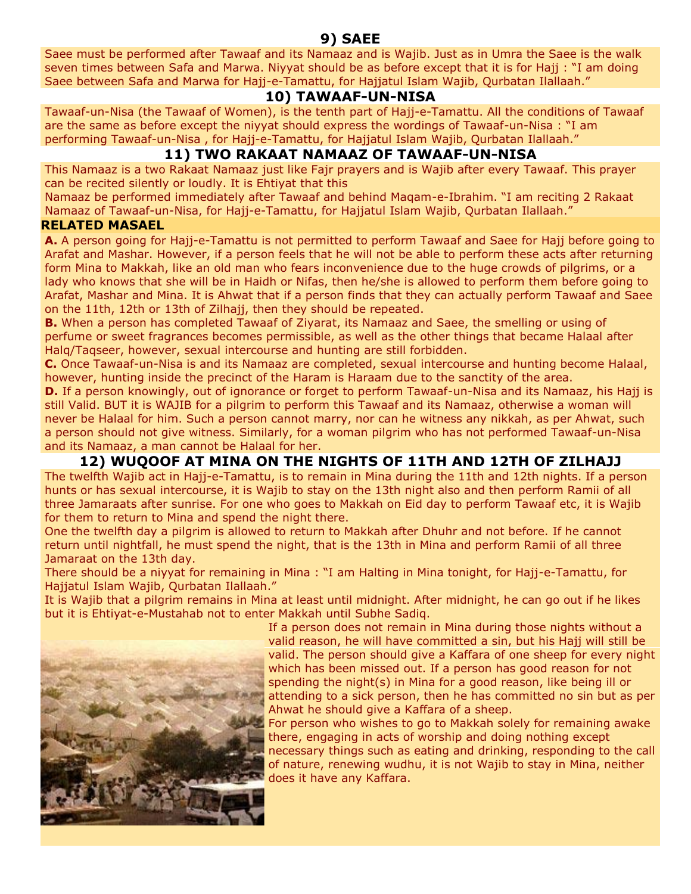### **9) SAEE**

Saee must be performed after Tawaaf and its Namaaz and is Wajib. Just as in Umra the Saee is the walk seven times between Safa and Marwa. Niyyat should be as before except that it is for Hajj : "I am doing Saee between Safa and Marwa for Hajj-e-Tamattu, for Hajjatul Islam Wajib, Qurbatan Ilallaah."

### **10) TAWAAF-UN-NISA**

Tawaaf-un-Nisa (the Tawaaf of Women), is the tenth part of Hajj-e-Tamattu. All the conditions of Tawaaf are the same as before except the niyyat should express the wordings of Tawaaf-un-Nisa : "I am performing Tawaaf-un-Nisa , for Hajj-e-Tamattu, for Hajjatul Islam Wajib, Qurbatan Ilallaah."

## **11) TWO RAKAAT NAMAAZ OF TAWAAF-UN-NISA**

This Namaaz is a two Rakaat Namaaz just like Fajr prayers and is Wajib after every Tawaaf. This prayer can be recited silently or loudly. It is Ehtiyat that this

Namaaz be performed immediately after Tawaaf and behind Maqam-e-Ibrahim. "I am reciting 2 Rakaat Namaaz of Tawaaf-un-Nisa, for Hajj-e-Tamattu, for Hajjatul Islam Wajib, Qurbatan Ilallaah."

### **RELATED MASAEL**

**A.** A person going for Hajj-e-Tamattu is not permitted to perform Tawaaf and Saee for Hajj before going to Arafat and Mashar. However, if a person feels that he will not be able to perform these acts after returning form Mina to Makkah, like an old man who fears inconvenience due to the huge crowds of pilgrims, or a lady who knows that she will be in Haidh or Nifas, then he/she is allowed to perform them before going to Arafat, Mashar and Mina. It is Ahwat that if a person finds that they can actually perform Tawaaf and Saee on the 11th, 12th or 13th of Zilhajj, then they should be repeated.

**B.** When a person has completed Tawaaf of Ziyarat, its Namaaz and Saee, the smelling or using of perfume or sweet fragrances becomes permissible, as well as the other things that became Halaal after Halq/Taqseer, however, sexual intercourse and hunting are still forbidden.

**C.** Once Tawaaf-un-Nisa is and its Namaaz are completed, sexual intercourse and hunting become Halaal, however, hunting inside the precinct of the Haram is Haraam due to the sanctity of the area.

**D.** If a person knowingly, out of ignorance or forget to perform Tawaaf-un-Nisa and its Namaaz, his Hajj is still Valid. BUT it is WAJIB for a pilgrim to perform this Tawaaf and its Namaaz, otherwise a woman will never be Halaal for him. Such a person cannot marry, nor can he witness any nikkah, as per Ahwat, such a person should not give witness. Similarly, for a woman pilgrim who has not performed Tawaaf-un-Nisa and its Namaaz, a man cannot be Halaal for her.

### **12) WUQOOF AT MINA ON THE NIGHTS OF 11TH AND 12TH OF ZILHAJJ**

The twelfth Wajib act in Hajj-e-Tamattu, is to remain in Mina during the 11th and 12th nights. If a person hunts or has sexual intercourse, it is Wajib to stay on the 13th night also and then perform Ramii of all three Jamaraats after sunrise. For one who goes to Makkah on Eid day to perform Tawaaf etc, it is Wajib for them to return to Mina and spend the night there.

One the twelfth day a pilgrim is allowed to return to Makkah after Dhuhr and not before. If he cannot return until nightfall, he must spend the night, that is the 13th in Mina and perform Ramii of all three Jamaraat on the 13th day.

There should be a niyyat for remaining in Mina : "I am Halting in Mina tonight, for Hajj-e-Tamattu, for Hajjatul Islam Wajib, Qurbatan Ilallaah."

It is Wajib that a pilgrim remains in Mina at least until midnight. After midnight, he can go out if he likes but it is Ehtiyat-e-Mustahab not to enter Makkah until Subhe Sadiq.



If a person does not remain in Mina during those nights without a valid reason, he will have committed a sin, but his Hajj will still be valid. The person should give a Kaffara of one sheep for every night which has been missed out. If a person has good reason for not spending the night(s) in Mina for a good reason, like being ill or attending to a sick person, then he has committed no sin but as per Ahwat he should give a Kaffara of a sheep.

For person who wishes to go to Makkah solely for remaining awake there, engaging in acts of worship and doing nothing except necessary things such as eating and drinking, responding to the call of nature, renewing wudhu, it is not Wajib to stay in Mina, neither does it have any Kaffara.